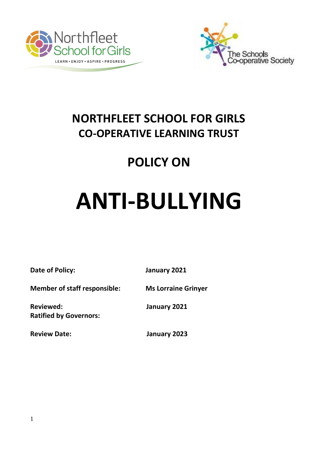



## **NORTHFLEET SCHOOL FOR GIRLS CO-OPERATIVE LEARNING TRUST**

## **POLICY ON**

# **ANTI-BULLYING**

**Date of Policy: January 2021**

**Member of staff responsible: Ms Lorraine Grinyer**

**Reviewed: January 2021 Ratified by Governors:** 

**Review Date: January 2023**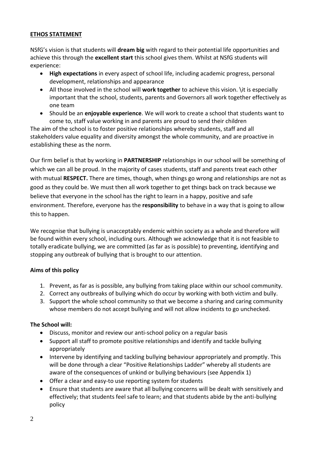#### **ETHOS STATEMENT**

NSfG's vision is that students will **dream big** with regard to their potential life opportunities and achieve this through the **excellent start** this school gives them. Whilst at NSfG students will experience:

- **High expectations** in every aspect of school life, including academic progress, personal development, relationships and appearance
- All those involved in the school will **work together** to achieve this vision. \it is especially important that the school, students, parents and Governors all work together effectively as one team
- Should be an **enjoyable experience**. We will work to create a school that students want to come to, staff value working in and parents are proud to send their children

The aim of the school is to foster positive relationships whereby students, staff and all stakeholders value equality and diversity amongst the whole community, and are proactive in establishing these as the norm.

Our firm belief is that by working in **PARTNERSHIP** relationships in our school will be something of which we can all be proud. In the majority of cases students, staff and parents treat each other with mutual **RESPECT.** There are times, though, when things go wrong and relationships are not as good as they could be. We must then all work together to get things back on track because we believe that everyone in the school has the right to learn in a happy, positive and safe environment. Therefore, everyone has the **responsibility** to behave in a way that is going to allow this to happen.

We recognise that bullying is unacceptably endemic within society as a whole and therefore will be found within every school, including ours. Although we acknowledge that it is not feasible to totally eradicate bullying, we are committed (as far as is possible) to preventing, identifying and stopping any outbreak of bullying that is brought to our attention.

#### **Aims of this policy**

- 1. Prevent, as far as is possible, any bullying from taking place within our school community.
- 2. Correct any outbreaks of bullying which do occur by working with both victim and bully.
- 3. Support the whole school community so that we become a sharing and caring community whose members do not accept bullying and will not allow incidents to go unchecked.

#### **The School will:**

- Discuss, monitor and review our anti-school policy on a regular basis
- Support all staff to promote positive relationships and identify and tackle bullying appropriately
- Intervene by identifying and tackling bullying behaviour appropriately and promptly. This will be done through a clear "Positive Relationships Ladder" whereby all students are aware of the consequences of unkind or bullying behaviours (see Appendix 1)
- Offer a clear and easy-to use reporting system for students
- Ensure that students are aware that all bullying concerns will be dealt with sensitively and effectively; that students feel safe to learn; and that students abide by the anti-bullying policy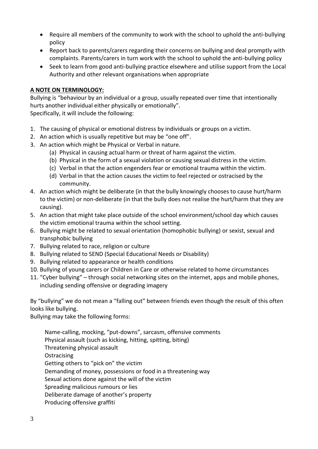- Require all members of the community to work with the school to uphold the anti-bullying policy
- Report back to parents/carers regarding their concerns on bullying and deal promptly with complaints. Parents/carers in turn work with the school to uphold the anti-bullying policy
- Seek to learn from good anti-bullying practice elsewhere and utilise support from the Local Authority and other relevant organisations when appropriate

#### **A NOTE ON TERMINOLOGY:**

Bullying is "behaviour by an individual or a group, usually repeated over time that intentionally hurts another individual either physically or emotionally".

Specifically, it will include the following:

- 1. The causing of physical or emotional distress by individuals or groups on a victim.
- 2. An action which is usually repetitive but may be "one off".
- 3. An action which might be Physical or Verbal in nature.
	- (a) Physical in causing actual harm or threat of harm against the victim.
	- (b) Physical in the form of a sexual violation or causing sexual distress in the victim.
	- (c) Verbal in that the action engenders fear or emotional trauma within the victim.
	- (d) Verbal in that the action causes the victim to feel rejected or ostracised by the community.
- 4. An action which might be deliberate (in that the bully knowingly chooses to cause hurt/harm to the victim) or non-deliberate (in that the bully does not realise the hurt/harm that they are causing).
- 5. An action that might take place outside of the school environment/school day which causes the victim emotional trauma within the school setting.
- 6. Bullying might be related to sexual orientation (homophobic bullying) or sexist, sexual and transphobic bullying
- 7. Bullying related to race, religion or culture
- 8. Bullying related to SEND (Special Educational Needs or Disability)
- 9. Bullying related to appearance or health conditions
- 10. Bullying of young carers or Children in Care or otherwise related to home circumstances
- 11. "Cyber bullying" through social networking sites on the internet, apps and mobile phones, including sending offensive or degrading imagery

By "bullying" we do not mean a "falling out" between friends even though the result of this often looks like bullying.

Bullying may take the following forms:

Name-calling, mocking, "put-downs", sarcasm, offensive comments Physical assault (such as kicking, hitting, spitting, biting) Threatening physical assault **Ostracising** Getting others to "pick on" the victim Demanding of money, possessions or food in a threatening way Sexual actions done against the will of the victim Spreading malicious rumours or lies Deliberate damage of another's property Producing offensive graffiti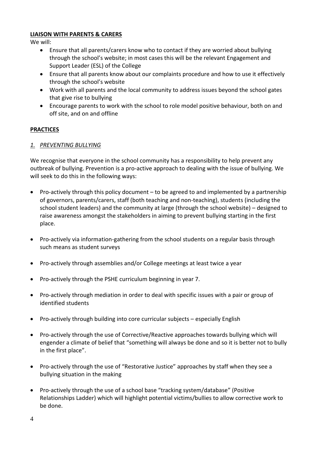#### **LIAISON WITH PARENTS & CARERS**

We will:

- Ensure that all parents/carers know who to contact if they are worried about bullying through the school's website; in most cases this will be the relevant Engagement and Support Leader (ESL) of the College
- Ensure that all parents know about our complaints procedure and how to use it effectively through the school's website
- Work with all parents and the local community to address issues beyond the school gates that give rise to bullying
- Encourage parents to work with the school to role model positive behaviour, both on and off site, and on and offline

#### **PRACTICES**

#### *1. PREVENTING BULLYING*

We recognise that everyone in the school community has a responsibility to help prevent any outbreak of bullying. Prevention is a pro-active approach to dealing with the issue of bullying. We will seek to do this in the following ways:

- Pro-actively through this policy document to be agreed to and implemented by a partnership of governors, parents/carers, staff (both teaching and non-teaching), students (including the school student leaders) and the community at large (through the school website) – designed to raise awareness amongst the stakeholders in aiming to prevent bullying starting in the first place.
- Pro-actively via information-gathering from the school students on a regular basis through such means as student surveys
- Pro-actively through assemblies and/or College meetings at least twice a year
- Pro-actively through the PSHE curriculum beginning in year 7.
- Pro-actively through mediation in order to deal with specific issues with a pair or group of identified students
- Pro-actively through building into core curricular subjects especially English
- Pro-actively through the use of Corrective/Reactive approaches towards bullying which will engender a climate of belief that "something will always be done and so it is better not to bully in the first place".
- Pro-actively through the use of "Restorative Justice" approaches by staff when they see a bullying situation in the making
- Pro-actively through the use of a school base "tracking system/database" (Positive Relationships Ladder) which will highlight potential victims/bullies to allow corrective work to be done.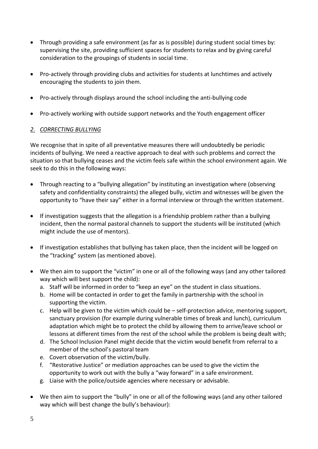- Through providing a safe environment (as far as is possible) during student social times by: supervising the site, providing sufficient spaces for students to relax and by giving careful consideration to the groupings of students in social time.
- Pro-actively through providing clubs and activities for students at lunchtimes and actively encouraging the students to join them.
- Pro-actively through displays around the school including the anti-bullying code
- Pro-actively working with outside support networks and the Youth engagement officer

#### *2. CORRECTING BULLYING*

We recognise that in spite of all preventative measures there will undoubtedly be periodic incidents of bullying. We need a reactive approach to deal with such problems and correct the situation so that bullying ceases and the victim feels safe within the school environment again. We seek to do this in the following ways:

- Through reacting to a "bullying allegation" by instituting an investigation where (observing safety and confidentiality constraints) the alleged bully, victim and witnesses will be given the opportunity to "have their say" either in a formal interview or through the written statement.
- If investigation suggests that the allegation is a friendship problem rather than a bullying incident, then the normal pastoral channels to support the students will be instituted (which might include the use of mentors).
- If investigation establishes that bullying has taken place, then the incident will be logged on the "tracking" system (as mentioned above).
- We then aim to support the "victim" in one or all of the following ways (and any other tailored way which will best support the child):
	- a. Staff will be informed in order to "keep an eye" on the student in class situations.
	- b. Home will be contacted in order to get the family in partnership with the school in supporting the victim.
	- c. Help will be given to the victim which could be self-protection advice, mentoring support, sanctuary provision (for example during vulnerable times of break and lunch), curriculum adaptation which might be to protect the child by allowing them to arrive/leave school or lessons at different times from the rest of the school while the problem is being dealt with;
	- d. The School Inclusion Panel might decide that the victim would benefit from referral to a member of the school's pastoral team
	- e. Covert observation of the victim/bully.
	- f. "Restorative Justice" or mediation approaches can be used to give the victim the opportunity to work out with the bully a "way forward" in a safe environment.
	- g. Liaise with the police/outside agencies where necessary or advisable.
- We then aim to support the "bully" in one or all of the following ways (and any other tailored way which will best change the bully's behaviour):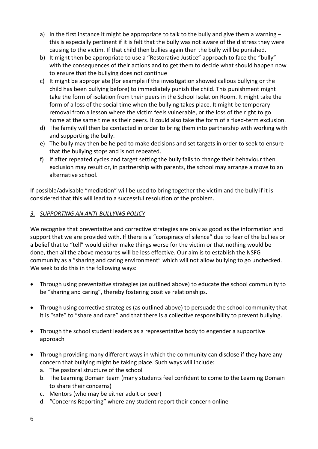- a) In the first instance it might be appropriate to talk to the bully and give them a warning this is especially pertinent if it is felt that the bully was not aware of the distress they were causing to the victim. If that child then bullies again then the bully will be punished.
- b) It might then be appropriate to use a "Restorative Justice" approach to face the "bully" with the consequences of their actions and to get them to decide what should happen now to ensure that the bullying does not continue
- c) It might be appropriate (for example if the investigation showed callous bullying or the child has been bullying before) to immediately punish the child. This punishment might take the form of isolation from their peers in the School Isolation Room. It might take the form of a loss of the social time when the bullying takes place. It might be temporary removal from a lesson where the victim feels vulnerable, or the loss of the right to go home at the same time as their peers. It could also take the form of a fixed-term exclusion.
- d) The family will then be contacted in order to bring them into partnership with working with and supporting the bully.
- e) The bully may then be helped to make decisions and set targets in order to seek to ensure that the bullying stops and is not repeated.
- f) If after repeated cycles and target setting the bully fails to change their behaviour then exclusion may result or, in partnership with parents, the school may arrange a move to an alternative school.

If possible/advisable "mediation" will be used to bring together the victim and the bully if it is considered that this will lead to a successful resolution of the problem.

#### *3. SUPPORTING AN ANTI-BULLYING POLICY*

We recognise that preventative and corrective strategies are only as good as the information and support that we are provided with. If there is a "conspiracy of silence" due to fear of the bullies or a belief that to "tell" would either make things worse for the victim or that nothing would be done, then all the above measures will be less effective. Our aim is to establish the NSFG community as a "sharing and caring environment" which will not allow bullying to go unchecked. We seek to do this in the following ways:

- Through using preventative strategies (as outlined above) to educate the school community to be "sharing and caring", thereby fostering positive relationships.
- Through using corrective strategies (as outlined above) to persuade the school community that it is "safe" to "share and care" and that there is a collective responsibility to prevent bullying.
- Through the school student leaders as a representative body to engender a supportive approach
- Through providing many different ways in which the community can disclose if they have any concern that bullying might be taking place. Such ways will include:
	- a. The pastoral structure of the school
	- b. The Learning Domain team (many students feel confident to come to the Learning Domain to share their concerns)
	- c. Mentors (who may be either adult or peer)
	- d. "Concerns Reporting" where any student report their concern online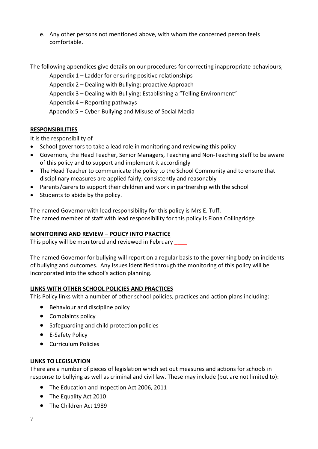e. Any other persons not mentioned above, with whom the concerned person feels comfortable.

The following appendices give details on our procedures for correcting inappropriate behaviours;

Appendix 1 – Ladder for ensuring positive relationships Appendix 2 – Dealing with Bullying: proactive Approach Appendix 3 – Dealing with Bullying: Establishing a "Telling Environment" Appendix 4 – Reporting pathways Appendix 5 – Cyber-Bullying and Misuse of Social Media

#### **RESPONSIBILITIES**

It is the responsibility of

- School governors to take a lead role in monitoring and reviewing this policy
- Governors, the Head Teacher, Senior Managers, Teaching and Non-Teaching staff to be aware of this policy and to support and implement it accordingly
- The Head Teacher to communicate the policy to the School Community and to ensure that disciplinary measures are applied fairly, consistently and reasonably
- Parents/carers to support their children and work in partnership with the school
- Students to abide by the policy.

The named Governor with lead responsibility for this policy is Mrs E. Tuff. The named member of staff with lead responsibility for this policy is Fiona Collingridge

#### **MONITORING AND REVIEW – POLICY INTO PRACTICE**

This policy will be monitored and reviewed in February \_\_\_\_

The named Governor for bullying will report on a regular basis to the governing body on incidents of bullying and outcomes. Any issues identified through the monitoring of this policy will be incorporated into the school's action planning.

#### **LINKS WITH OTHER SCHOOL POLICIES AND PRACTICES**

This Policy links with a number of other school policies, practices and action plans including:

- Behaviour and discipline policy
- Complaints policy
- Safeguarding and child protection policies
- E-Safety Policy
- Curriculum Policies

#### **LINKS TO LEGISLATION**

There are a number of pieces of legislation which set out measures and actions for schools in response to bullying as well as criminal and civil law. These may include (but are not limited to):

- The Education and Inspection Act 2006, 2011
- The Equality Act 2010
- The Children Act 1989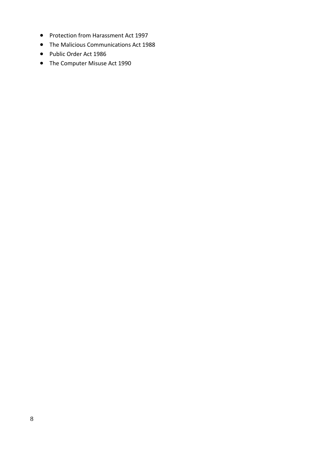- Protection from Harassment Act 1997
- The Malicious Communications Act 1988
- Public Order Act 1986
- The Computer Misuse Act 1990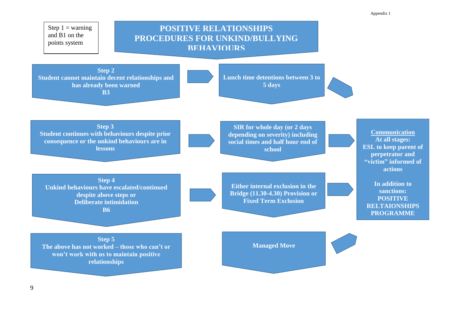Step  $1 =$  warning and B1 on the points system

### **PROCEDURES FOR UNKIND/BULLYING POSITIVE RELATIONSHIPS BEHAVIOURS**

**Step 2 Student cannot maintain decent relationships and has already been warned B3**

**Lunch time detentions between 3 to 5 days**

**SIR for whole day (or 2 days depending on severity) including social times and half hour end of school**

**Step 3 Student continues with behaviours despite prior consequence or the unkind behaviours are in lessons**

**Step 4 Unkind behaviours have escalated/continued despite above steps or Deliberate intimidation B6**

**Either internal exclusion in the Bridge (11.30-4.30) Provision or Fixed Term Exclusion**

**Communication At all stages: ESL to keep parent of perpetrator and "victim" informed of actions**

**In addition to sanctions: POSITIVE RELTAIONSHIPS PROGRAMME** 

**RJ/Mediation can be** 

**Step 5 The above has not worked – those who can't or won't work with us to maintain positive relationships** 

**Managed Move**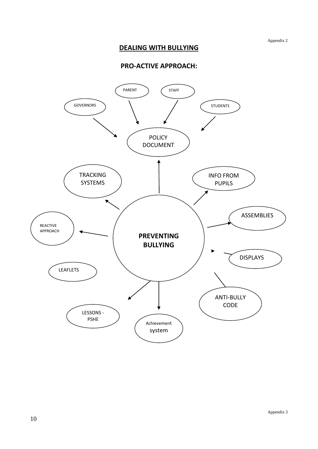#### **DEALING WITH BULLYING**

#### **PRO-ACTIVE APPROACH:**

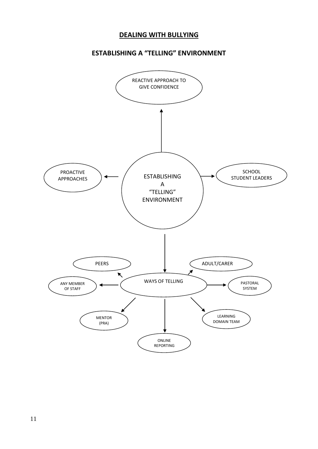#### **DEALING WITH BULLYING**

#### **ESTABLISHING A "TELLING" ENVIRONMENT**

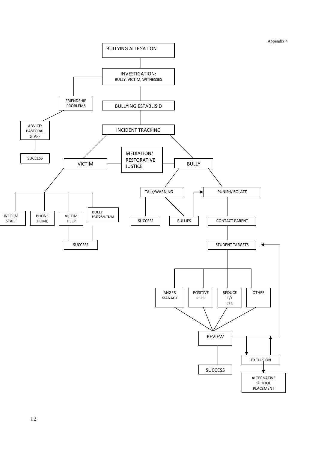Appendix 4

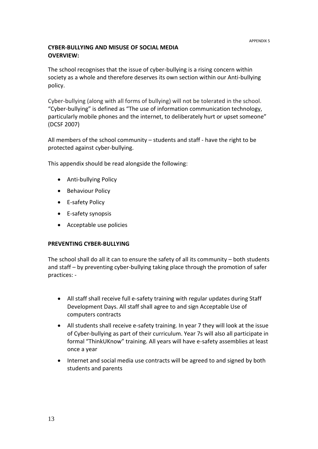#### **CYBER-BULLYING AND MISUSE OF SOCIAL MEDIA OVERVIEW:**

The school recognises that the issue of cyber-bullying is a rising concern within society as a whole and therefore deserves its own section within our Anti-bullying policy.

Cyber-bullying (along with all forms of bullying) will not be tolerated in the school. "Cyber-bullying" is defined as "The use of information communication technology, particularly mobile phones and the internet, to deliberately hurt or upset someone" (DCSF 2007)

All members of the school community – students and staff - have the right to be protected against cyber-bullying.

This appendix should be read alongside the following:

- Anti-bullying Policy
- Behaviour Policy
- E-safety Policy
- E-safety synopsis
- Acceptable use policies

#### **PREVENTING CYBER-BULLYING**

The school shall do all it can to ensure the safety of all its community – both students and staff – by preventing cyber-bullying taking place through the promotion of safer practices: -

- All staff shall receive full e-safety training with regular updates during Staff Development Days. All staff shall agree to and sign Acceptable Use of computers contracts
- All students shall receive e-safety training. In year 7 they will look at the issue of Cyber-bullying as part of their curriculum. Year 7s will also all participate in formal "ThinkUKnow" training. All years will have e-safety assemblies at least once a year
- Internet and social media use contracts will be agreed to and signed by both students and parents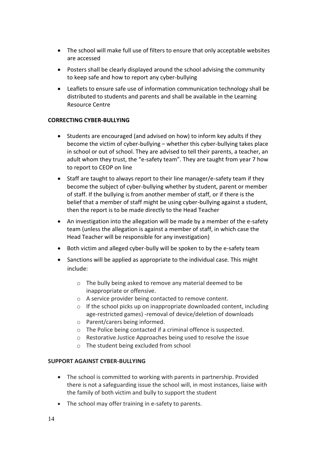- The school will make full use of filters to ensure that only acceptable websites are accessed
- Posters shall be clearly displayed around the school advising the community to keep safe and how to report any cyber-bullying
- Leaflets to ensure safe use of information communication technology shall be distributed to students and parents and shall be available in the Learning Resource Centre

#### **CORRECTING CYBER-BULLYING**

- Students are encouraged (and advised on how) to inform key adults if they become the victim of cyber-bullying – whether this cyber-bullying takes place in school or out of school. They are advised to tell their parents, a teacher, an adult whom they trust, the "e-safety team". They are taught from year 7 how to report to CEOP on line
- Staff are taught to always report to their line manager/e-safety team if they become the subject of cyber-bullying whether by student, parent or member of staff. If the bullying is from another member of staff, or if there is the belief that a member of staff might be using cyber-bullying against a student, then the report is to be made directly to the Head Teacher
- An investigation into the allegation will be made by a member of the e-safety team (unless the allegation is against a member of staff, in which case the Head Teacher will be responsible for any investigation)
- Both victim and alleged cyber-bully will be spoken to by the e-safety team
- Sanctions will be applied as appropriate to the individual case. This might include:
	- o The bully being asked to remove any material deemed to be inappropriate or offensive.
	- o A service provider being contacted to remove content.
	- $\circ$  If the school picks up on inappropriate downloaded content, including age-restricted games) -removal of device/deletion of downloads
	- o Parent/carers being informed.
	- o The Police being contacted if a criminal offence is suspected.
	- o Restorative Justice Approaches being used to resolve the issue
	- o The student being excluded from school

#### **SUPPORT AGAINST CYBER-BULLYING**

- The school is committed to working with parents in partnership. Provided there is not a safeguarding issue the school will, in most instances, liaise with the family of both victim and bully to support the student
- The school may offer training in e-safety to parents.